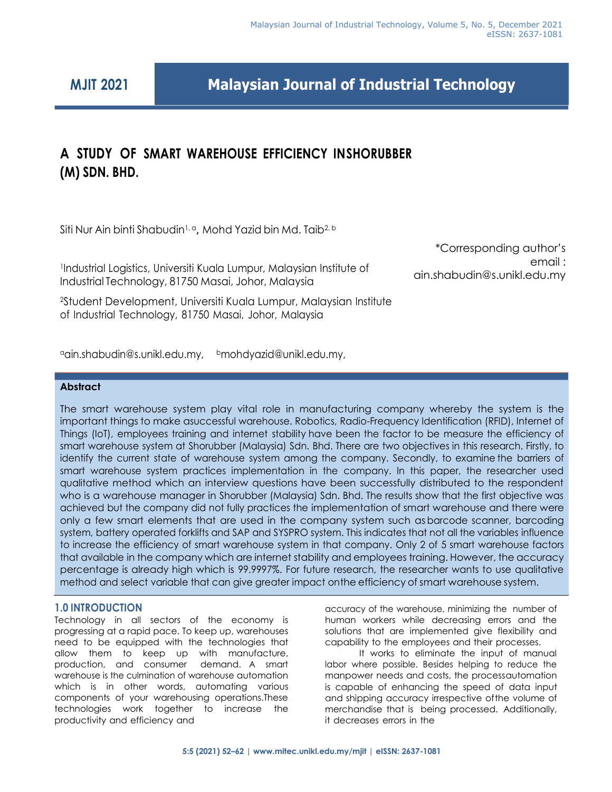# **MJIT 2021**

**Malaysian Journal of Industrial Technology**

# **A STUDY OF SMART WAREHOUSE EFFICIENCY INSHORUBBER (M) SDN. BHD.**

Siti Nur Ain binti Shabudin1, <sup>a</sup>**,** Mohd Yazid bin Md. Taib2, <sup>b</sup>

1 Industrial Logistics, Universiti Kuala Lumpur, Malaysian Institute of Industrial Technology, 81750 Masai, Johor, Malaysia

<sup>2</sup>Student Development, Universiti Kuala Lumpur, Malaysian Institute of Industrial Technology, 81750 Masai, Johor, Malaysia

<sup>a</sup>[ain.shabudin@s.unikl.edu.my,](mailto:aain.shabudin@s.unikl.edu.my) b[mohdyazid@unikl.edu.my,](mailto:aain.shabudin@s.unikl.edu.my)

# **Abstract**

The smart warehouse system play vital role in manufacturing company whereby the system is the important things to make asuccessful warehouse. Robotics, Radio-Frequency Identification (RFID), Internet of Things (IoT), employees training and internet stability have been the factor to be measure the efficiency of smart warehouse system at Shorubber (Malaysia) Sdn. Bhd. There are two objectives in this research. Firstly, to identify the current state of warehouse system among the company. Secondly, to examine the barriers of smart warehouse system practices implementation in the company. In this paper, the researcher used qualitative method which an interview questions have been successfully distributed to the respondent who is a warehouse manager in Shorubber (Malaysia) Sdn. Bhd. The results show that the first objective was achieved but the company did not fully practices the implementation of smart warehouse and there were only a few smart elements that are used in the company system such as barcode scanner, barcoding system, battery operated forklifts and SAP and SYSPRO system. This indicates that not all the variables influence to increase the efficiency of smart warehouse system in that company. Only 2 of 5 smart warehouse factors that available in the company which are internet stability and employees training. However, the accuracy percentage is already high which is 99.9997%. For future research, the researcher wants to use qualitative method and select variable that can give greater impact onthe efficiency of smart warehouse system.

# **1.0 INTRODUCTION**

internet stability progressing at a rapid pace. To keep up, warehouses Technology in all sectors of the economy is need to be equipped with the technologies that allow them to keep up with manufacture, production, and consumer demand. A smart warehouse is the culmination of warehouse automation which is in other words, automating various components of your warehousing operations.These technologies work together to increase the productivity and efficiency and

**CONSISTENTS**<br>Efficiency, And Things (Internet Training and The economy is thuman workers while decreasing errors and the accuracy of the warehouse, minimizing the number of solutions that are implemented give flexibility and capability to the employees and their processes.

It works to eliminate the input of manual labor where possible. Besides helping to reduce the manpower needs and costs, the processautomation is capable of enhancing the speed of data input and shipping accuracy irrespective ofthe volume of merchandise that is being processed. Additionally, it decreases errors in the

# \*Corresponding author's email : ain.shabudin@s.unikl.edu.my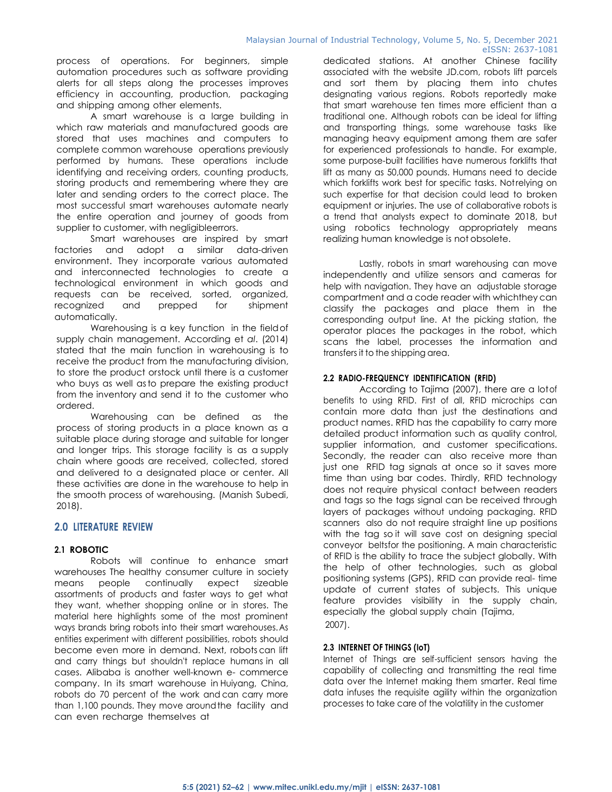process of operations. For beginners, simple automation procedures such as software providing alerts for all steps along the processes improves efficiency in accounting, production, packaging and shipping among other elements.

A smart warehouse is a large building in which raw materials and manufactured goods are stored that uses machines and computers to complete common warehouse operations previously performed by humans. These operations include identifying and receiving orders, counting products, storing products and remembering where they are later and sending orders to the correct place. The most successful smart warehouses automate nearly the entire operation and journey of goods from supplier to customer, with negligibleerrors.

Smart warehouses are inspired by smart factories and adopt a similar data-driven environment. They incorporate various automated and interconnected technologies to create a technological environment in which goods and requests can be received, sorted, organized, recognized and prepped for shipment automatically.

Warehousing is a key function in the fieldof supply chain management. According et *al*. (2014) stated that the main function in warehousing is to receive the product from the manufacturing division, to store the product orstock until there is a customer who buys as well asto prepare the existing product from the inventory and send it to the customer who ordered.

Warehousing can be defined as the process of storing products in a place known as a suitable place during storage and suitable for longer and longer trips. This storage facility is as a supply chain where goods are received, collected, stored and delivered to a designated place or center. All these activities are done in the warehouse to help in the smooth process of warehousing. (Manish Subedi, 2018).

### **2.0 LITERATURE REVIEW**

### **2.1 ROBOTIC**

Robots will continue to enhance smart warehouses The healthy consumer culture in society means people continually expect sizeable assortments of products and faster ways to get what they want, whether shopping online or in stores. The material here highlights some of the most prominent ways brands bring robots into their smart warehouses.As entities experiment with different possibilities, robots should become even more in demand. Next, robots can lift and carry things but shouldn't replace humans in all cases. Alibaba is another well-known e- commerce company. In its smart warehouse in Huiyang, China, robots do 70 percent of the work and can carry more than 1,100 pounds. They move aroundthe facility and can even recharge themselves at

dedicated stations. At another Chinese facility associated with the website JD.com, robots lift parcels and sort them by placing them into chutes designating various regions. Robots reportedly make that smart warehouse ten times more efficient than a traditional one. Although robots can be ideal for lifting and transporting things, some warehouse tasks like managing heavy equipment among them are safer for experienced professionals to handle. For example, some purpose-built facilities have numerous forklifts that lift as many as 50,000 pounds. Humans need to decide which forklifts work best for specific tasks. Notrelying on such expertise for that decision could lead to broken equipment or injuries. The use of collaborative robots is a trend that analysts expect to dominate 2018, but using robotics technology appropriately means realizing human knowledge is not obsolete.

Lastly, robots in smart warehousing can move independently and utilize sensors and cameras for help with navigation. They have an adjustable storage compartment and a code reader with whichthey can classify the packages and place them in the corresponding output line. At the picking station, the operator places the packages in the robot, which scans the label, processes the information and transfers it to the shipping area.

#### **2.2 RADIO-FREQUENCY IDENTIFICATION (RFID)**

According to Tajima (2007), there are a lotof benefits to using RFID. First of all, RFID microchips can contain more data than just the destinations and product names. RFID has the capability to carry more detailed product information such as quality control, supplier information, and customer specifications. Secondly, the reader can also receive more than just one RFID tag signals at once so it saves more time than using bar codes. Thirdly, RFID technology does not require physical contact between readers and tags so the tags signal can be received through layers of packages without undoing packaging. RFID scanners also do not require straight line up positions with the tag so it will save cost on designing special conveyor beltsfor the positioning. A main characteristic of RFID is the ability to trace the subject globally. With the help of other technologies, such as global positioning systems (GPS), RFID can provide real- time update of current states of subjects. This unique feature provides visibility in the supply chain, especially the global supply chain (Tajima, 2007).

#### **2.3 INTERNET OF THINGS (IoT)**

Internet of Things are self-sufficient sensors having the capability of collecting and transmitting the real time data over the Internet making them smarter. Real time data infuses the requisite agility within the organization processes to take care of the volatility in the customer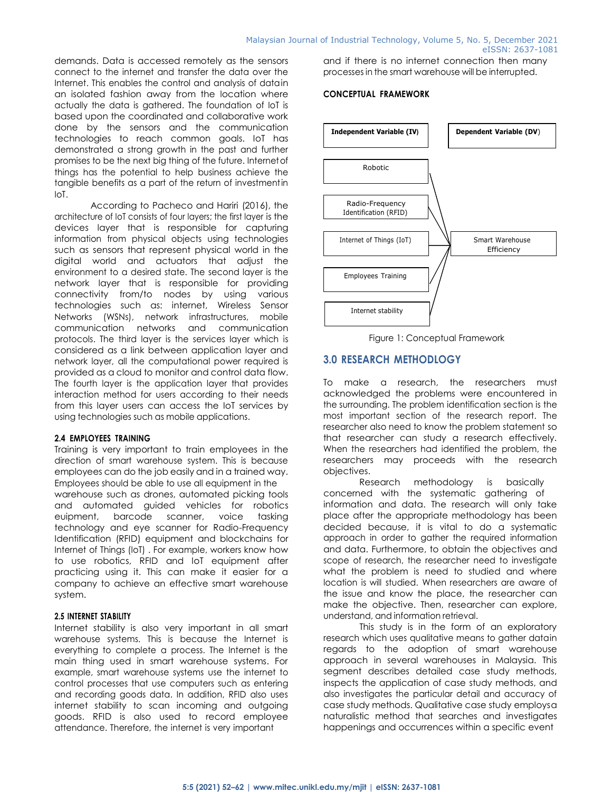demands. Data is accessed remotely as the sensors connect to the internet and transfer the data over the Internet. This enables the control and analysis of datain an isolated fashion away from the location where actually the data is gathered. The foundation of IoT is based upon the coordinated and collaborative work done by the sensors and the communication technologies to reach common goals. IoT has demonstrated a strong growth in the past and further promises to be the next big thing of the future. Internetof things has the potential to help business achieve the tangible benefits as a part of the return of investmentin  $I \cap T$ 

According to Pacheco and Hariri (2016), the architecture of IoT consists of four layers; the first layer is the devices layer that is responsible for capturing information from physical objects using technologies such as sensors that represent physical world in the digital world and actuators that adjust the environment to a desired state. The second layer is the network layer that is responsible for providing connectivity from/to nodes by using various technologies such as: internet, Wireless Sensor Networks (WSNs), network infrastructures, mobile communication networks and communication protocols. The third layer is the services layer which is considered as a link between application layer and network layer, all the computational power required is provided as a cloud to monitor and control data flow. The fourth layer is the application layer that provides interaction method for users according to their needs from this layer users can access the IoT services by using technologies such as mobile applications.

#### **2.4 EMPLOYEES TRAINING**

Training is very important to train employees in the direction of smart warehouse system. This is because employees can do the job easily and in a trained way. Employees should be able to use all equipment in the warehouse such as drones, automated picking tools and automated guided vehicles for robotics euipment, barcode scanner, voice tasking technology and eye scanner for Radio-Frequency Identification (RFID) equipment and blockchains for Internet of Things (IoT) . For example, workers know how to use robotics, RFID and IoT equipment after practicing using it. This can make it easier for a company to achieve an effective smart warehouse system.

## **2.5 INTERNET STABILITY**

Internet stability is also very important in all smart warehouse systems. This is because the Internet is everything to complete a process. The Internet is the main thing used in smart warehouse systems. For example, smart warehouse systems use the internet to control processes that use computers such as entering and recording goods data. In addition, RFID also uses internet stability to scan incoming and outgoing goods. RFID is also used to record employee attendance. Therefore, the internet is very important

and if there is no internet connection then many processes in the smart warehouse will be interrupted.

#### **CONCEPTUAL FRAMEWORK**



Figure 1: Conceptual Framework

# **3.0 RESEARCH METHODLOGY**

To make a research, the researchers must acknowledged the problems were encountered in the surrounding. The problem identification section is the most important section of the research report. The researcher also need to know the problem statement so that researcher can study a research effectively. When the researchers had identified the problem, the researchers may proceeds with the research objectives.

Research methodology is basically concerned with the systematic gathering of information and data. The research will only take place after the appropriate methodology has been decided because, it is vital to do a systematic approach in order to gather the required information and data. Furthermore, to obtain the objectives and scope of research, the researcher need to investigate what the problem is need to studied and where location is will studied. When researchers are aware of the issue and know the place, the researcher can make the objective. Then, researcher can explore, understand, and information retrieval.

This study is in the form of an exploratory research which uses qualitative means to gather datain regards to the adoption of smart warehouse approach in several warehouses in Malaysia. This segment describes detailed case study methods, inspects the application of case study methods, and also investigates the particular detail and accuracy of case study methods. Qualitative case study employsa naturalistic method that searches and investigates happenings and occurrences within a specific event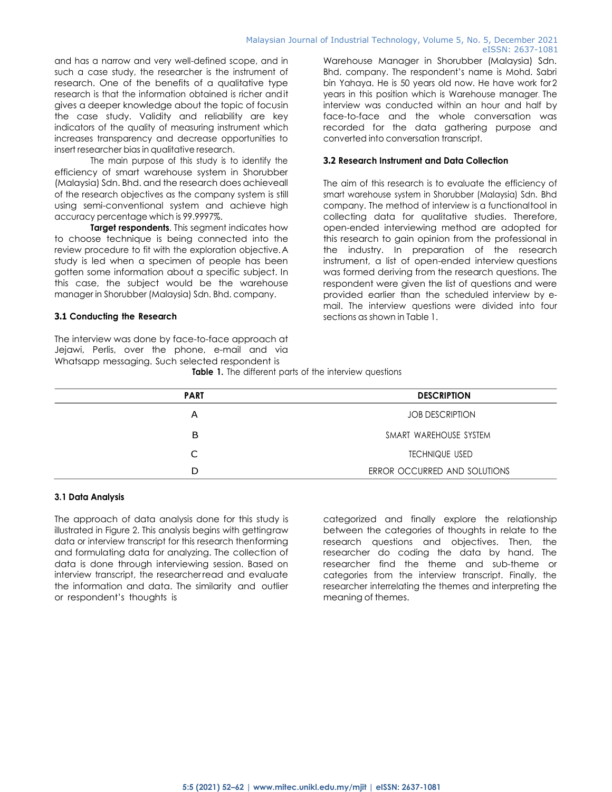and has a narrow and very well-defined scope, and in such a case study, the researcher is the instrument of research. One of the benefits of a qualitative type research is that the information obtained is richer andit gives a deeper knowledge about the topic of focusin the case study. Validity and reliability are key indicators of the quality of measuring instrument which increases transparency and decrease opportunities to insert researcher bias in qualitative research.

The main purpose of this study is to identify the efficiency of smart warehouse system in Shorubber (Malaysia) Sdn. Bhd. and the research does achieveall of the research objectives as the company system is still using semi-conventional system and achieve high accuracy percentage which is 99.9997%.

**Target respondents**. This segment indicates how to choose technique is being connected into the review procedure to fit with the exploration objective.A study is led when a specimen of people has been gotten some information about a specific subject. In this case, the subject would be the warehouse manager in Shorubber (Malaysia) Sdn. Bhd. company.

#### **3.1 Conducting the Research**

The interview was done by face-to-face approach at Jejawi, Perlis, over the phone, e-mail and via Whatsapp messaging. Such selected respondent is

Warehouse Manager in Shorubber (Malaysia) Sdn. Bhd. company. The respondent's name is Mohd. Sabri bin Yahaya. He is 50 years old now. He have work for2 years in this position which is Warehouse manager. The interview was conducted within an hour and half by face-to-face and the whole conversation was recorded for the data gathering purpose and converted into conversation transcript.

#### **3.2 Research Instrument and Data Collection**

The aim of this research is to evaluate the efficiency of smart warehouse system in Shorubber (Malaysia) Sdn. Bhd company. The method of interview is a functionaltool in collecting data for qualitative studies. Therefore, open-ended interviewing method are adopted for this research to gain opinion from the professional in the industry. In preparation of the research instrument, a list of open-ended interview questions was formed deriving from the research questions. The respondent were given the list of questions and were provided earlier than the scheduled interview by email. The interview questions were divided into four sections as shown in Table 1.

|  |  |  |  |  |  |  |  | <b>Table 1.</b> The different parts of the interview questions |  |
|--|--|--|--|--|--|--|--|----------------------------------------------------------------|--|
|--|--|--|--|--|--|--|--|----------------------------------------------------------------|--|

| <b>PART</b> | <b>DESCRIPTION</b>           |
|-------------|------------------------------|
| A           | <b>JOB DESCRIPTION</b>       |
| в           | SMART WAREHOUSE SYSTEM       |
|             | <b>TECHNIQUE USED</b>        |
| D           | ERROR OCCURRED AND SOLUTIONS |

#### **3.1 Data Analysis**

The approach of data analysis done for this study is illustrated in Figure 2. This analysis begins with gettingraw data or interview transcript for this research thenforming and formulating data for analyzing. The collection of data is done through interviewing session. Based on interview transcript, the researcher read and evaluate the information and data. The similarity and outlier or respondent's thoughts is

categorized and finally explore the relationship between the categories of thoughts in relate to the research questions and objectives. Then, the researcher do coding the data by hand. The researcher find the theme and sub-theme or categories from the interview transcript. Finally, the researcher interrelating the themes and interpreting the meaning of themes.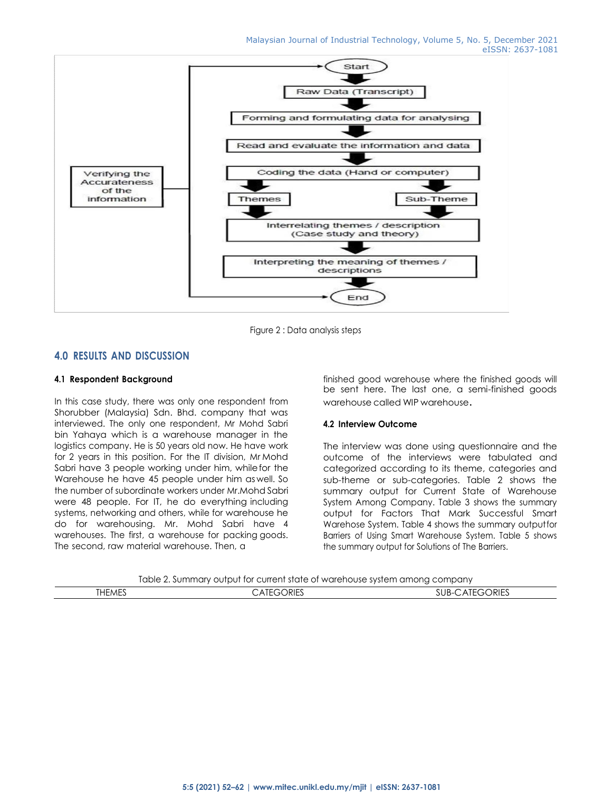

Figure 2 : Data analysis steps

# **4.0 RESULTS AND DISCUSSION**

### **4.1 Respondent Background**

In this case study, there was only one respondent from Shorubber (Malaysia) Sdn. Bhd. company that was interviewed. The only one respondent, Mr Mohd Sabri bin Yahaya which is a warehouse manager in the logistics company. He is 50 years old now. He have work for 2 years in this position. For the IT division, Mr Mohd Sabri have 3 people working under him, whilefor the Warehouse he have 45 people under him as well. So the number of subordinate workers under Mr.Mohd Sabri were 48 people. For IT, he do everything including systems, networking and others, while for warehouse he do for warehousing. Mr. Mohd Sabri have 4 warehouses. The first, a warehouse for packing goods. The second, raw material warehouse. Then, a

finished good warehouse where the finished goods will be sent here. The last one, a semi-finished goods warehouse called WIP warehouse.

### **4.2 Interview Outcome**

The interview was done using questionnaire and the outcome of the interviews were tabulated and categorized according to its theme, categories and sub-theme or sub-categories. Table 2 shows the summary output for Current State of Warehouse System Among Company. Table 3 shows the summary output for Factors That Mark Successful Smart Warehose System. Table 4 shows the summary outputfor Barriers of Using Smart Warehouse System. Table 5 shows the summary output for Solutions of The Barriers.

Table 2. Summary output for current state of warehouse system among company

| 1 <sup>0</sup><br><b>THEMES</b> | ORIES<br>$\lnot$<br>▵ | $- - -$<br>SUB-<br>ORIES<br>All |
|---------------------------------|-----------------------|---------------------------------|
|                                 |                       |                                 |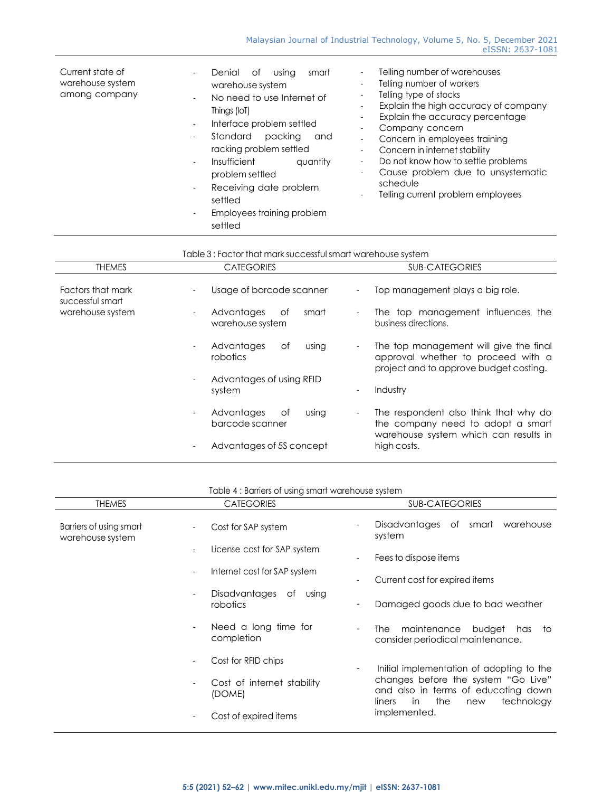| Current state of<br>warehouse system<br>among company | Denial<br>smart<br>Οf<br>using<br>$\sim$<br>warehouse system<br>No need to use Internet of<br>$\overline{\phantom{a}}$<br>Things (IoT)<br>Interface problem settled<br>$\overline{\phantom{a}}$<br>Standard<br>packing<br>and<br>$\overline{\phantom{a}}$<br>racking problem settled<br>Insufficient<br>quantity<br>$\overline{\phantom{a}}$<br>problem settled<br>Receiving date problem<br>$\blacksquare$<br>settled<br>Employees training problem<br>$\overline{\phantom{a}}$<br>settled | Telling number of warehouses<br>Telling number of workers<br>$\overline{\phantom{a}}$<br>Telling type of stocks<br>$\overline{\phantom{0}}$<br>Explain the high accuracy of company<br>Explain the accuracy percentage<br>$\overline{\phantom{a}}$<br>Company concern<br>$\overline{\phantom{a}}$<br>Concern in employees training<br>Concern in internet stability<br>$\overline{\phantom{a}}$<br>Do not know how to settle problems<br>$\overline{\phantom{a}}$<br>Cause problem due to unsystematic<br>-<br>schedule<br>Telling current problem employees |
|-------------------------------------------------------|---------------------------------------------------------------------------------------------------------------------------------------------------------------------------------------------------------------------------------------------------------------------------------------------------------------------------------------------------------------------------------------------------------------------------------------------------------------------------------------------|--------------------------------------------------------------------------------------------------------------------------------------------------------------------------------------------------------------------------------------------------------------------------------------------------------------------------------------------------------------------------------------------------------------------------------------------------------------------------------------------------------------------------------------------------------------|
|-------------------------------------------------------|---------------------------------------------------------------------------------------------------------------------------------------------------------------------------------------------------------------------------------------------------------------------------------------------------------------------------------------------------------------------------------------------------------------------------------------------------------------------------------------------|--------------------------------------------------------------------------------------------------------------------------------------------------------------------------------------------------------------------------------------------------------------------------------------------------------------------------------------------------------------------------------------------------------------------------------------------------------------------------------------------------------------------------------------------------------------|

| Table 3 : Factor that mark successful smart warehouse system |  |  |
|--------------------------------------------------------------|--|--|
|                                                              |  |  |
|                                                              |  |  |

| <b>THEMES</b>                         | <b>CATEGORIES</b>                                                 | <b>SUB-CATEGORIES</b>                                                                                                                           |
|---------------------------------------|-------------------------------------------------------------------|-------------------------------------------------------------------------------------------------------------------------------------------------|
| Factors that mark<br>successful smart | Usage of barcode scanner                                          | Top management plays a big role.                                                                                                                |
| warehouse system                      | Advantages<br>Οf<br>smart<br>warehouse system                     | The top management influences the<br>$\overline{\phantom{a}}$<br>business directions.                                                           |
|                                       | Advantages<br>using<br>Οf<br>$\overline{\phantom{a}}$<br>robotics | The top management will give the final<br>$\sim$<br>approval whether to proceed with a<br>project and to approve budget costing.                |
|                                       | Advantages of using RFID<br>system                                | Industry<br>۰                                                                                                                                   |
|                                       | Advantages<br>0f<br>using<br>barcode scanner                      | The respondent also think that why do<br>$\overline{\phantom{a}}$<br>the company need to adopt a smart<br>warehouse system which can results in |
|                                       | Advantages of 5S concept                                          | high costs.                                                                                                                                     |

| Table 4: Barriers of using smart warehouse system |  |  |  |  |  |  |
|---------------------------------------------------|--|--|--|--|--|--|
|---------------------------------------------------|--|--|--|--|--|--|

| <b>THEMES</b>                               | <b>CATEGORIES</b>                                        | <b>SUB-CATEGORIES</b>                                                                                                  |
|---------------------------------------------|----------------------------------------------------------|------------------------------------------------------------------------------------------------------------------------|
| Barriers of using smart<br>warehouse system | Cost for SAP system<br>$\overline{\phantom{a}}$          | Disadvantages<br>of<br>smart<br>warehouse<br>system                                                                    |
|                                             | License cost for SAP system                              | Fees to dispose items<br>$\overline{\phantom{a}}$                                                                      |
|                                             | Internet cost for SAP system<br>$\overline{\phantom{a}}$ | Current cost for expired items                                                                                         |
|                                             | Disadvantages<br>of<br>using<br>robotics                 | Damaged goods due to bad weather<br>$\overline{\phantom{a}}$                                                           |
|                                             | Need a long time for<br>completion                       | maintenance<br>budget<br>The I<br>has<br>to<br>consider periodical maintenance.                                        |
|                                             | Cost for RFID chips<br>$\overline{\phantom{a}}$          | Initial implementation of adopting to the<br>۰                                                                         |
|                                             | Cost of internet stability<br>(DOME)                     | changes before the system "Go Live"<br>and also in terms of educating down<br>the<br>technology<br>in<br>liners<br>new |
|                                             | Cost of expired items                                    | implemented.                                                                                                           |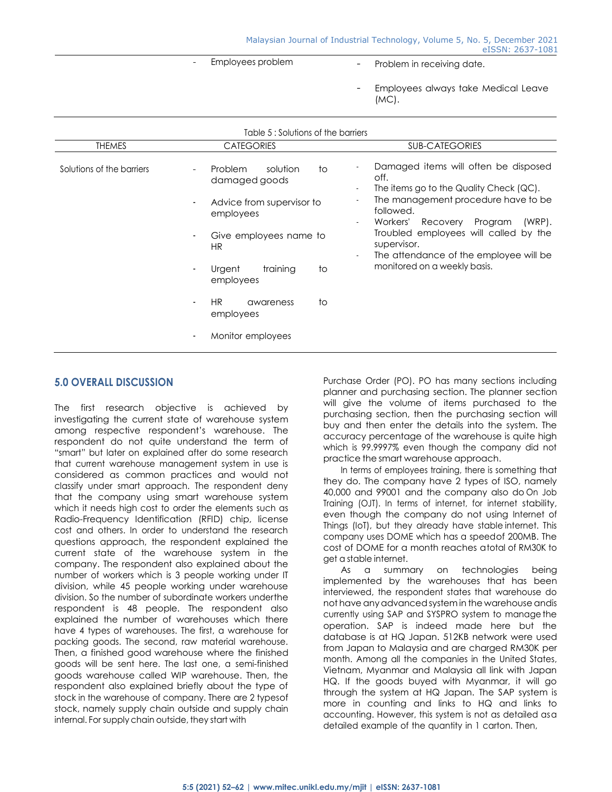- 
- Employees problem Problem in receiving date.
	- Employees always take Medical Leave (MC).

|                           | Table 5: Solutions of the barriers                                                                                                                                                                                                      |                                                                                                                                                                                                                                                                                                                                                        |  |
|---------------------------|-----------------------------------------------------------------------------------------------------------------------------------------------------------------------------------------------------------------------------------------|--------------------------------------------------------------------------------------------------------------------------------------------------------------------------------------------------------------------------------------------------------------------------------------------------------------------------------------------------------|--|
| <b>THEMES</b>             | <b>CATEGORIES</b>                                                                                                                                                                                                                       | <b>SUB-CATEGORIES</b>                                                                                                                                                                                                                                                                                                                                  |  |
| Solutions of the barriers | <b>Problem</b><br>solution<br>to<br>damaged goods<br>Advice from supervisor to<br>employees<br>Give employees name to<br>HR.<br>training<br>to<br>Urgent<br>employees<br><b>HR</b><br>to<br>awareness<br>employees<br>Monitor employees | Damaged items will often be disposed<br>off.<br>The items go to the Quality Check (QC).<br>The management procedure have to be<br>$\overline{\phantom{0}}$<br>followed.<br>$(WRP)$ .<br>Workers'<br>Recovery Program<br>Troubled employees will called by the<br>supervisor.<br>The attendance of the employee will be<br>monitored on a weekly basis. |  |
|                           |                                                                                                                                                                                                                                         |                                                                                                                                                                                                                                                                                                                                                        |  |

# **5.0 OVERALL DISCUSSION**

The first research objective is achieved by investigating the current state of warehouse system among respective respondent's warehouse. The respondent do not quite understand the term of "smart" but later on explained after do some research that current warehouse management system in use is considered as common practices and would not classify under smart approach. The respondent deny that the company using smart warehouse system which it needs high cost to order the elements such as Radio-Frequency Identification (RFID) chip, license cost and others. In order to understand the research questions approach, the respondent explained the current state of the warehouse system in the company. The respondent also explained about the number of workers which is 3 people working under IT division, while 45 people working under warehouse division. So the number of subordinate workers underthe respondent is 48 people. The respondent also explained the number of warehouses which there have 4 types of warehouses. The first, a warehouse for packing goods. The second, raw material warehouse. Then, a finished good warehouse where the finished goods will be sent here. The last one, a semi-finished goods warehouse called WIP warehouse. Then, the respondent also explained briefly about the type of stock in the warehouse of company. There are 2 typesof stock, namely supply chain outside and supply chain internal. For supply chain outside, they start with

Purchase Order (PO). PO has many sections including planner and purchasing section. The planner section will give the volume of items purchased to the purchasing section, then the purchasing section will buy and then enter the details into the system. The accuracy percentage of the warehouse is quite high which is 99.9997% even though the company did not practice the smart warehouse approach.

In terms of employees training, there is something that they do. The company have 2 types of ISO, namely 40,000 and 99001 and the company also do On Job Training (OJT). In terms of internet, for internet stability, even though the company do not using Internet of Things (IoT), but they already have stable internet. This company uses DOME which has a speedof 200MB. The cost of DOME for a month reaches atotal of RM30K to get a stable internet.

As a summary on technologies being implemented by the warehouses that has been interviewed, the respondent states that warehouse do not have anyadvancedsystemin the warehouse andis currently using SAP and SYSPRO system to managethe operation. SAP is indeed made here but the database is at HQ Japan. 512KB network were used from Japan to Malaysia and are charged RM30K per month. Among all the companies in the United States, Vietnam, Myanmar and Malaysia all link with Japan HQ. If the goods buyed with Myanmar, it will go through the system at HQ Japan. The SAP system is more in counting and links to HQ and links to accounting. However, this system is not as detailed asa detailed example of the quantity in 1 carton. Then,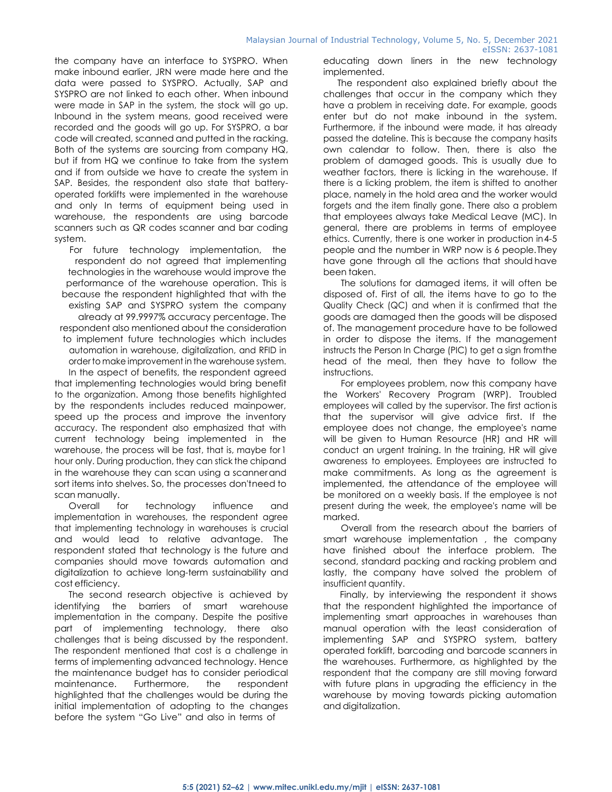the company have an interface to SYSPRO. When make inbound earlier, JRN were made here and the data were passed to SYSPRO. Actually, SAP and SYSPRO are not linked to each other. When inbound were made in SAP in the system, the stock will go up. Inbound in the system means, good received were recorded and the goods will go up. For SYSPRO, a bar code will created, scanned and putted in the racking. Both of the systems are sourcing from company HQ, but if from HQ we continue to take from the system and if from outside we have to create the system in SAP. Besides, the respondent also state that batteryoperated forklifts were implemented in the warehouse and only In terms of equipment being used in warehouse, the respondents are using barcode scanners such as QR codes scanner and bar coding system.

For future technology implementation, the respondent do not agreed that implementing technologies in the warehouse would improve the performance of the warehouse operation. This is because the respondent highlighted that with the existing SAP and SYSPRO system the company already at 99.9997% accuracy percentage. The respondent also mentioned about the consideration to implement future technologies which includes automation in warehouse, digitalization, and RFID in order to make improvement in the warehouse system. In the aspect of benefits, the respondent agreed that implementing technologies would bring benefit to the organization. Among those benefits highlighted by the respondents includes reduced mainpower, speed up the process and improve the inventory accuracy. The respondent also emphasized that with current technology being implemented in the warehouse, the process will be fast, that is, maybe for1 hour only. During production, they can stick the chipand in the warehouse they can scan using a scannerand sort items into shelves. So, the processes don'tneed to scan manually.

Overall for technology influence and implementation in warehouses, the respondent agree that implementing technology in warehouses is crucial and would lead to relative advantage. The respondent stated that technology is the future and companies should move towards automation and digitalization to achieve long-term sustainability and cost efficiency.

The second research objective is achieved by identifying the barriers of smart warehouse implementation in the company. Despite the positive part of implementing technology, there also challenges that is being discussed by the respondent. The respondent mentioned that cost is a challenge in terms of implementing advanced technology. Hence the maintenance budget has to consider periodical maintenance. Furthermore, the respondent highlighted that the challenges would be during the initial implementation of adopting to the changes before the system "Go Live" and also in terms of

educating down liners in the new technology implemented.

The respondent also explained briefly about the challenges that occur in the company which they have a problem in receiving date. For example, goods enter but do not make inbound in the system. Furthermore, if the inbound were made, it has already passed the dateline. This is because the company hasits own calendar to follow. Then, there is also the problem of damaged goods. This is usually due to weather factors, there is licking in the warehouse. If there is a licking problem, the item is shifted to another place, namely in the hold area and the worker would forgets and the item finally gone. There also a problem that employees always take Medical Leave (MC). In general, there are problems in terms of employee ethics. Currently, there is one worker in production in4-5 people and the number in WRP now is 6 people.They have gone through all the actions that should have been taken.

The solutions for damaged items, it will often be disposed of. First of all, the items have to go to the Quality Check (QC) and when it is confirmed that the goods are damaged then the goods will be disposed of. The management procedure have to be followed in order to dispose the items. If the management instructs the Person In Charge (PIC) to get a sign fromthe head of the meal, then they have to follow the instructions.

For employees problem, now this company have the Workers' Recovery Program (WRP). Troubled employees will called by the supervisor. The first action is that the supervisor will give advice first. If the employee does not change, the employee's name will be given to Human Resource (HR) and HR will conduct an urgent training. In the training, HR will give awareness to employees. Employees are instructed to make commitments. As long as the agreement is implemented, the attendance of the employee will be monitored on a weekly basis. If the employee is not present during the week, the employee's name will be marked.

Overall from the research about the barriers of smart warehouse implementation , the company have finished about the interface problem. The second, standard packing and racking problem and lastly, the company have solved the problem of insufficient quantity.

Finally, by interviewing the respondent it shows that the respondent highlighted the importance of implementing smart approaches in warehouses than manual operation with the least consideration of implementing SAP and SYSPRO system, battery operated forklift, barcoding and barcode scanners in the warehouses. Furthermore, as highlighted by the respondent that the company are still moving forward with future plans in upgrading the efficiency in the warehouse by moving towards picking automation and digitalization.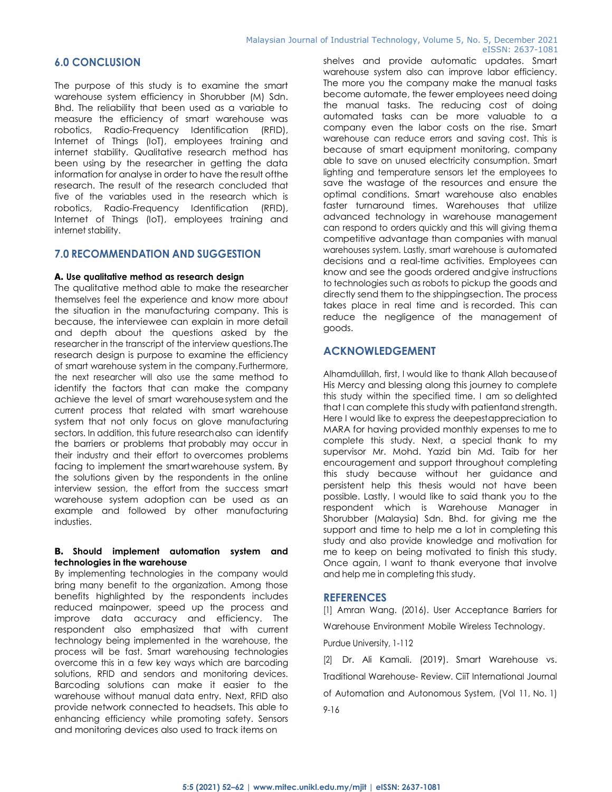# **6.0 CONCLUSION**

The purpose of this study is to examine the smart warehouse system efficiency in Shorubber (M) Sdn. Bhd. The reliability that been used as a variable to measure the efficiency of smart warehouse was robotics, Radio-Frequency Identification (RFID), Internet of Things (IoT), employees training and internet stability. Qualitative research method has been using by the researcher in getting the data information for analyse in order to have the result ofthe research. The result of the research concluded that five of the variables used in the research which is robotics, Radio-Frequency Identification (RFID), Internet of Things (IoT), employees training and internet stability.

# **7.0 RECOMMENDATION AND SUGGESTION**

#### **A. Use qualitative method as research design**

The qualitative method able to make the researcher themselves feel the experience and know more about the situation in the manufacturing company. This is because, the interviewee can explain in more detail and depth about the questions asked by the researcher in the transcript of the interview questions.The research design is purpose to examine the efficiency of smart warehouse system in the company.Furthermore, the next researcher will also use the same method to identify the factors that can make the company achieve the level of smart warehousesystem and the current process that related with smart warehouse system that not only focus on glove manufacturing sectors. In addition, this future researchalso can identify the barriers or problems that probably may occur in their industry and their effort to overcomes problems facing to implement the smartwarehouse system. By the solutions given by the respondents in the online interview session, the effort from the success smart warehouse system adoption can be used as an example and followed by other manufacturing industies.

#### **B. Should implement automation system and technologies in the warehouse**

By implementing technologies in the company would bring many benefit to the organization. Among those benefits highlighted by the respondents includes reduced mainpower, speed up the process and improve data accuracy and efficiency. The respondent also emphasized that with current technology being implemented in the warehouse, the process will be fast. Smart warehousing technologies overcome this in a few key ways which are barcoding solutions, RFID and sendors and monitoring devices. Barcoding solutions can make it easier to the warehouse without manual data entry. Next, RFID also provide network connected to headsets. This able to enhancing efficiency while promoting safety. Sensors and monitoring devices also used to track items on

shelves and provide automatic updates. Smart warehouse system also can improve labor efficiency. The more you the company make the manual tasks become automate, the fewer employees need doing the manual tasks. The reducing cost of doing automated tasks can be more valuable to a company even the labor costs on the rise. Smart warehouse can reduce errors and saving cost. This is because of smart equipment monitoring, company able to save on unused electricity consumption. Smart lighting and temperature sensors let the employees to save the wastage of the resources and ensure the optimal conditions. Smart warehouse also enables faster turnaround times. Warehouses that utilize advanced technology in warehouse management can respond to orders quickly and this will giving thema competitive advantage than companies with manual warehouses system. Lastly, smart warehouse is automated decisions and a real-time activities. Employees can know and see the goods ordered andgive instructions to technologies such as robots to pickup the goods and directly send them to the shippingsection. The process takes place in real time and is recorded. This can reduce the negligence of the management of goods.

# **ACKNOWLEDGEMENT**

Alhamdulillah, first, I would like to thank Allah becauseof His Mercy and blessing along this journey to complete this study within the specified time. I am so delighted that I can complete this study with patientand strength. Here I would like to express the deepestappreciation to MARA for having provided monthly expenses to me to complete this study. Next, a special thank to my supervisor Mr. Mohd. Yazid bin Md. Taib for her encouragement and support throughout completing this study because without her guidance and persistent help this thesis would not have been possible. Lastly, I would like to said thank you to the respondent which is Warehouse Manager in Shorubber (Malaysia) Sdn. Bhd. for giving me the support and time to help me a lot in completing this study and also provide knowledge and motivation for me to keep on being motivated to finish this study. Once again, I want to thank everyone that involve and help me in completing this study.

# **REFERENCES**

[1] Amran Wang. (2016). User Acceptance Barriers for Warehouse Environment Mobile Wireless Technology.

Purdue University, 1-112

[2] Dr. Ali Kamali. (2019). Smart Warehouse vs. Traditional Warehouse- Review. CiiT International Journal of Automation and Autonomous System, (Vol 11, No. 1) 9-16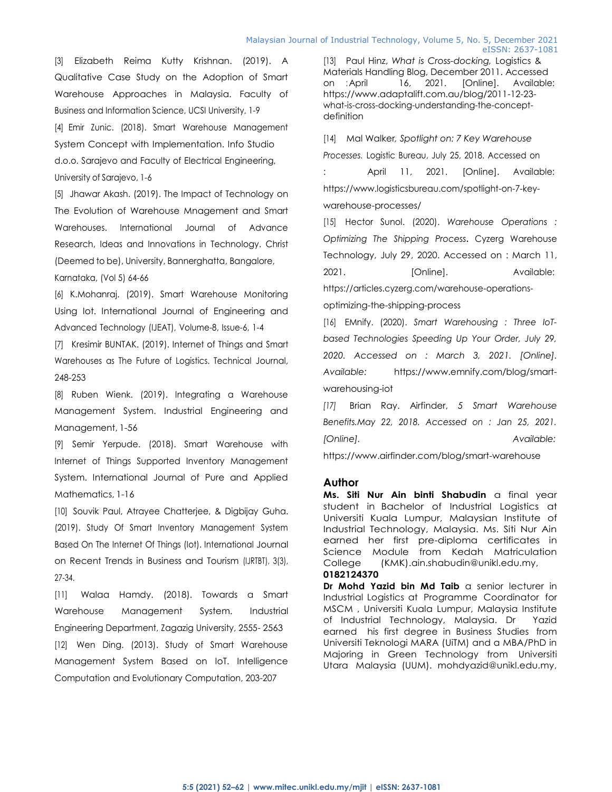[3] Elizabeth Reima Kutty Krishnan. (2019). A Qualitative Case Study on the Adoption of Smart Warehouse Approaches in Malaysia. Faculty of Business and Information Science, UCSI University, 1-9 [4] Emir Zunic. (2018). Smart Warehouse Management System Concept with Implementation. Info Studio d.o.o. Sarajevo and Faculty of Electrical Engineering, University of Sarajevo, 1-6

[5] Jhawar Akash. (2019). The Impact of Technology on The Evolution of Warehouse Mnagement and Smart Warehouses. International Journal of Advance Research, Ideas and Innovations in Technology. Christ (Deemed to be), University, Bannerghatta, Bangalore,

Karnataka, (Vol 5) 64-66

[6] K.Mohanraj. (2019). Smart Warehouse Monitoring Using Iot. International Journal of Engineering and Advanced Technology (IJEAT), Volume-8, Issue-6, 1-4

[7] Kresimir BUNTAK. (2019). Internet of Things and Smart Warehouses as The Future of Logistics. Technical Journal, 248-253

[8] Ruben Wienk. (2019). Integrating a Warehouse Management System. Industrial Engineering and Management, 1-56

[9] Semir Yerpude. (2018). Smart Warehouse with Internet of Things Supported Inventory Management System. International Journal of Pure and Applied Mathematics, 1-16

[10] Souvik Paul, Atrayee Chatterjee, & Digbijay Guha. (2019). Study Of Smart Inventory Management System Based On The Internet Of Things (Iot). International Journal on Recent Trends in Business and Tourism (IJRTBT), 3(3), 27-34.

[11] Walaa Hamdy. (2018). Towards a Smart Warehouse Management System. Industrial Engineering Department, Zagazig University, 2555- 2563 [12] Wen Ding. (2013). Study of Smart Warehouse Management System Based on IoT. Intelligence Computation and Evolutionary Computation, 203-207

[13] Paul Hinz, *What is Cross-docking,* Logistics & Materials Handling Blog, December 2011. Accessed on : April 16, 2021. [Online]. Available: [https://www.adaptalift.com.au/blog/2011-12-23](https://www.adaptalift.com.au/blog/2011-12-23-what-is-cross-docking-understanding-the-concept-definition) [what-is-cross-docking-understanding-the-concept](https://www.adaptalift.com.au/blog/2011-12-23-what-is-cross-docking-understanding-the-concept-definition)[definition](https://www.adaptalift.com.au/blog/2011-12-23-what-is-cross-docking-understanding-the-concept-definition)

[14] Mal Walker*, Spotlight on: 7 Key Warehouse Processes.* Logistic Bureau, July 25, 2018. Accessed on April 11, 2021. [Online]. Available: [https://www.logisticsbureau.com/spotlight-on-7-key](https://www.logisticsbureau.com/spotlight-on-7-key-warehouse-processes/)[warehouse-processes/](https://www.logisticsbureau.com/spotlight-on-7-key-warehouse-processes/)

[15] Hector Sunol. (2020). *Warehouse Operations : Optimizing The Shipping Process***.** Cyzerg Warehouse Technology, July 29, 2020. Accessed on : March 11, 2021. [Online]. Available: [https://articles.cyzerg.com/warehouse-operations-](https://articles.cyzerg.com/warehouse-operations-optimizing-the-shipping-process)

[optimizing-the-shipping-process](https://articles.cyzerg.com/warehouse-operations-optimizing-the-shipping-process)

[16] EMnify. (2020). *Smart Warehousing : Three IoTbased Technologies Speeding Up Your Order, July 29, 2020. Accessed on : March 3, 2021. [Online]. Available:* [https://www.emnify.com/blog/smart](https://www.emnify.com/blog/smart-warehousing-iot)[warehousing-iot](https://www.emnify.com/blog/smart-warehousing-iot)

*[17]* Brian Ray. Airfinder, *5 Smart Warehouse Benefits.May 22, 2018. Accessed on : Jan 25, 2021. [Online]. Available:*

<https://www.airfinder.com/blog/smart-warehouse>

#### **Author**

**Ms. Siti Nur Ain binti Shabudin** a final year student in Bachelor of Industrial Logistics at Universiti Kuala Lumpur, Malaysian Institute of Industrial Technology, Malaysia. Ms. Siti Nur Ain earned her first pre-diploma certificates in Science Module from Kedah Matriculation College (KMK)[.ain.shabudin@unikl.edu.my,](mailto:ain.shabudin@unikl.edu.my)

#### **0182124370**

**Dr Mohd Yazid bin Md Taib** a senior lecturer in Industrial Logistics at Programme Coordinator for MSCM , Universiti Kuala Lumpur, Malaysia Institute of Industrial Technology, Malaysia. Dr Yazid earned his first degree in Business Studies from Universiti Teknologi MARA (UiTM) and a MBA/PhD in Majoring in Green Technology from Universiti Utara Malaysia (UUM). [mohdyazid@unikl.edu.my,](mailto:mohdyazid@unikl.edu.my)